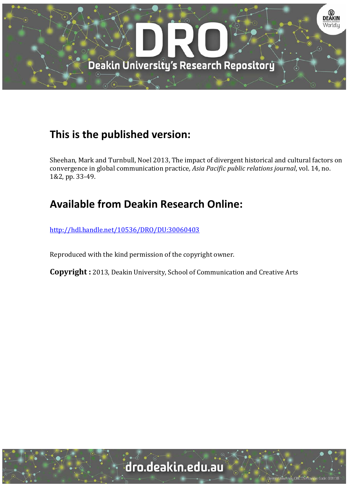

## **This is the published version:**

Sheehan, Mark and Turnbull, Noel 2013, The impact of divergent historical and cultural factors on convergence in global communication practice, *Asia Pacific public relations journal*, vol. 14, no. 1&2, pp. 33-49.

## **Available from Deakin Research Online:**

http://hdl.handle.net/10536/DRO/DU:30060403

Reproduced with the kind permission of the copyright owner.

**Copyright** : 2013, Deakin University, School of Communication and Creative Arts

# dro.deakin.edu.au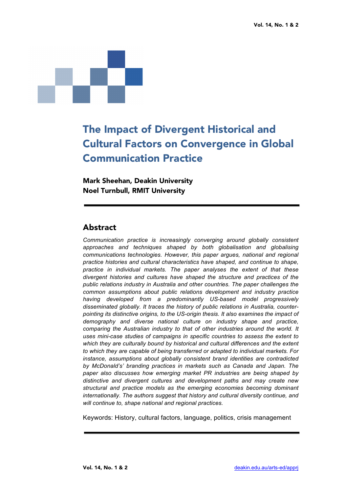

## The Impact of Divergent Historical and Cultural Factors on Convergence in Global Communication Practice

Mark Sheehan, Deakin University Noel Turnbull, RMIT University

#### Abstract

*Communication practice is increasingly converging around globally consistent approaches and techniques shaped by both globalisation and globalising communications technologies. However, this paper argues, national and regional practice histories and cultural characteristics have shaped, and continue to shape, practice in individual markets. The paper analyses the extent of that these divergent histories and cultures have shaped the structure and practices of the public relations industry in Australia and other countries. The paper challenges the common assumptions about public relations development and industry practice having developed from a predominantly US-based model progressively disseminated globally. It traces the history of public relations in Australia, counterpointing its distinctive origins, to the US-origin thesis. It also examines the impact of demography and diverse national culture on industry shape and practice, comparing the Australian industry to that of other industries around the world. It uses mini-case studies of campaigns in specific countries to assess the extent to which they are culturally bound by historical and cultural differences and the extent to which they are capable of being transferred or adapted to individual markets. For instance, assumptions about globally consistent brand identities are contradicted by McDonald's' branding practices in markets such as Canada and Japan. The paper also discusses how emerging market PR industries are being shaped by distinctive and divergent cultures and development paths and may create new structural and practice models as the emerging economies becoming dominant internationally. The authors suggest that history and cultural diversity continue, and will continue to, shape national and regional practices.* 

Keywords: History, cultural factors, language, politics, crisis management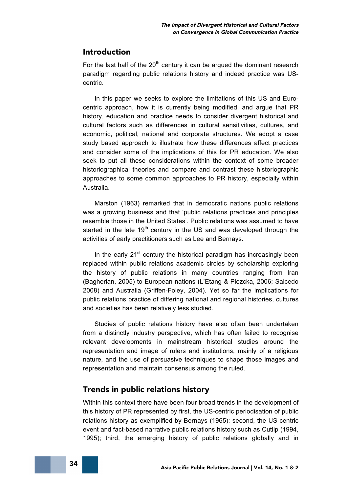#### Introduction

For the last half of the  $20<sup>th</sup>$  century it can be argued the dominant research paradigm regarding public relations history and indeed practice was UScentric.

In this paper we seeks to explore the limitations of this US and Eurocentric approach, how it is currently being modified, and argue that PR history, education and practice needs to consider divergent historical and cultural factors such as differences in cultural sensitivities, cultures, and economic, political, national and corporate structures. We adopt a case study based approach to illustrate how these differences affect practices and consider some of the implications of this for PR education. We also seek to put all these considerations within the context of some broader historiographical theories and compare and contrast these historiographic approaches to some common approaches to PR history, especially within Australia.

Marston (1963) remarked that in democratic nations public relations was a growing business and that 'public relations practices and principles resemble those in the United States'. Public relations was assumed to have started in the late  $19<sup>th</sup>$  century in the US and was developed through the activities of early practitioners such as Lee and Bernays.

In the early  $21<sup>st</sup>$  century the historical paradigm has increasingly been replaced within public relations academic circles by scholarship exploring the history of public relations in many countries ranging from Iran (Bagherian, 2005) to European nations (L'Etang & Piezcka, 2006; Salcedo 2008) and Australia (Griffen-Foley, 2004). Yet so far the implications for public relations practice of differing national and regional histories, cultures and societies has been relatively less studied.

Studies of public relations history have also often been undertaken from a distinctly industry perspective, which has often failed to recognise relevant developments in mainstream historical studies around the representation and image of rulers and institutions, mainly of a religious nature, and the use of persuasive techniques to shape those images and representation and maintain consensus among the ruled.

#### Trends in public relations history

Within this context there have been four broad trends in the development of this history of PR represented by first, the US-centric periodisation of public relations history as exemplified by Bernays (1965); second, the US-centric event and fact-based narrative public relations history such as Cutlip (1994, 1995); third, the emerging history of public relations globally and in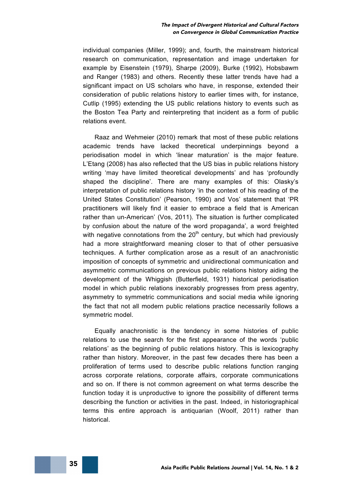individual companies (Miller, 1999); and, fourth, the mainstream historical research on communication, representation and image undertaken for example by Eisenstein (1979), Sharpe (2009), Burke (1992), Hobsbawm and Ranger (1983) and others. Recently these latter trends have had a significant impact on US scholars who have, in response, extended their consideration of public relations history to earlier times with, for instance, Cutlip (1995) extending the US public relations history to events such as the Boston Tea Party and reinterpreting that incident as a form of public relations event.

Raaz and Wehmeier (2010) remark that most of these public relations academic trends have lacked theoretical underpinnings beyond a periodisation model in which 'linear maturation' is the major feature. L'Etang (2008) has also reflected that the US bias in public relations history writing 'may have limited theoretical developments' and has 'profoundly shaped the discipline'. There are many examples of this: Olasky's interpretation of public relations history 'in the context of his reading of the United States Constitution' (Pearson, 1990) and Vos' statement that 'PR practitioners will likely find it easier to embrace a field that is American rather than un-American' (Vos, 2011). The situation is further complicated by confusion about the nature of the word propaganda', a word freighted with negative connotations from the  $20<sup>th</sup>$  century, but which had previously had a more straightforward meaning closer to that of other persuasive techniques. A further complication arose as a result of an anachronistic imposition of concepts of symmetric and unidirectional communication and asymmetric communications on previous public relations history aiding the development of the Whiggish (Butterfield, 1931) historical periodisation model in which public relations inexorably progresses from press agentry, asymmetry to symmetric communications and social media while ignoring the fact that not all modern public relations practice necessarily follows a symmetric model.

Equally anachronistic is the tendency in some histories of public relations to use the search for the first appearance of the words 'public relations' as the beginning of public relations history. This is lexicography rather than history. Moreover, in the past few decades there has been a proliferation of terms used to describe public relations function ranging across corporate relations, corporate affairs, corporate communications and so on. If there is not common agreement on what terms describe the function today it is unproductive to ignore the possibility of different terms describing the function or activities in the past. Indeed, in historiographical terms this entire approach is antiquarian (Woolf, 2011) rather than historical.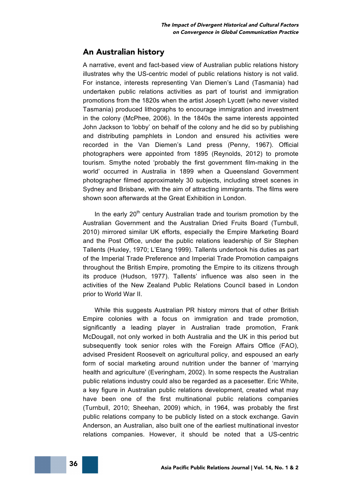#### An Australian history

A narrative, event and fact-based view of Australian public relations history illustrates why the US-centric model of public relations history is not valid. For instance, interests representing Van Diemen's Land (Tasmania) had undertaken public relations activities as part of tourist and immigration promotions from the 1820s when the artist Joseph Lycett (who never visited Tasmania) produced lithographs to encourage immigration and investment in the colony (McPhee, 2006). In the 1840s the same interests appointed John Jackson to 'lobby' on behalf of the colony and he did so by publishing and distributing pamphlets in London and ensured his activities were recorded in the Van Diemen's Land press (Penny, 1967). Official photographers were appointed from 1895 (Reynolds, 2012) to promote tourism. Smythe noted 'probably the first government film-making in the world' occurred in Australia in 1899 when a Queensland Government photographer filmed approximately 30 subjects, including street scenes in Sydney and Brisbane, with the aim of attracting immigrants. The films were shown soon afterwards at the Great Exhibition in London.

In the early  $20<sup>th</sup>$  century Australian trade and tourism promotion by the Australian Government and the Australian Dried Fruits Board (Turnbull, 2010) mirrored similar UK efforts, especially the Empire Marketing Board and the Post Office, under the public relations leadership of Sir Stephen Tallents (Huxley, 1970; L'Etang 1999). Tallents undertook his duties as part of the Imperial Trade Preference and Imperial Trade Promotion campaigns throughout the British Empire, promoting the Empire to its citizens through its produce (Hudson, 1977). Tallents' influence was also seen in the activities of the New Zealand Public Relations Council based in London prior to World War II.

While this suggests Australian PR history mirrors that of other British Empire colonies with a focus on immigration and trade promotion, significantly a leading player in Australian trade promotion, Frank McDougall, not only worked in both Australia and the UK in this period but subsequently took senior roles with the Foreign Affairs Office (FAO), advised President Roosevelt on agricultural policy, and espoused an early form of social marketing around nutrition under the banner of 'marrying health and agriculture' (Everingham, 2002). In some respects the Australian public relations industry could also be regarded as a pacesetter. Eric White, a key figure in Australian public relations development, created what may have been one of the first multinational public relations companies (Turnbull, 2010; Sheehan, 2009) which, in 1964, was probably the first public relations company to be publicly listed on a stock exchange. Gavin Anderson, an Australian, also built one of the earliest multinational investor relations companies. However, it should be noted that a US-centric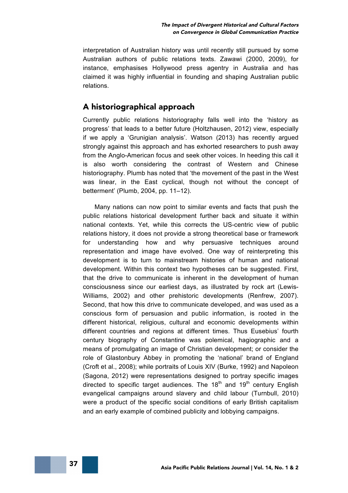interpretation of Australian history was until recently still pursued by some Australian authors of public relations texts. Zawawi (2000, 2009), for instance, emphasises Hollywood press agentry in Australia and has claimed it was highly influential in founding and shaping Australian public relations.

#### A historiographical approach

Currently public relations historiography falls well into the 'history as progress' that leads to a better future (Holtzhausen, 2012) view, especially if we apply a 'Grunigian analysis'. Watson (2013) has recently argued strongly against this approach and has exhorted researchers to push away from the Anglo-American focus and seek other voices. In heeding this call it is also worth considering the contrast of Western and Chinese historiography. Plumb has noted that 'the movement of the past in the West was linear, in the East cyclical, though not without the concept of betterment' (Plumb, 2004, pp. 11–12).

Many nations can now point to similar events and facts that push the public relations historical development further back and situate it within national contexts. Yet, while this corrects the US-centric view of public relations history, it does not provide a strong theoretical base or framework for understanding how and why persuasive techniques around representation and image have evolved. One way of reinterpreting this development is to turn to mainstream histories of human and national development. Within this context two hypotheses can be suggested. First, that the drive to communicate is inherent in the development of human consciousness since our earliest days, as illustrated by rock art (Lewis-Williams, 2002) and other prehistoric developments (Renfrew, 2007). Second, that how this drive to communicate developed, and was used as a conscious form of persuasion and public information, is rooted in the different historical, religious, cultural and economic developments within different countries and regions at different times. Thus Eusebius' fourth century biography of Constantine was polemical, hagiographic and a means of promulgating an image of Christian development; or consider the role of Glastonbury Abbey in promoting the 'national' brand of England (Croft et al., 2008); while portraits of Louis XIV (Burke, 1992) and Napoleon (Sagona, 2012) were representations designed to portray specific images directed to specific target audiences. The  $18<sup>th</sup>$  and  $19<sup>th</sup>$  century English evangelical campaigns around slavery and child labour (Turnbull, 2010) were a product of the specific social conditions of early British capitalism and an early example of combined publicity and lobbying campaigns.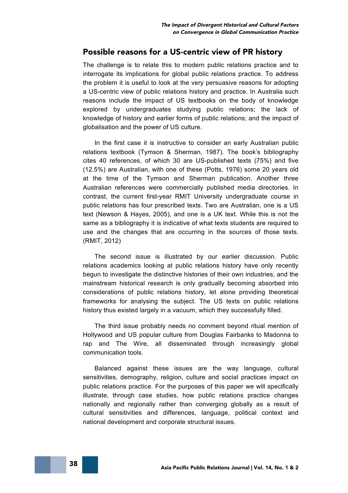#### Possible reasons for a US-centric view of PR history

The challenge is to relate this to modern public relations practice and to interrogate its implications for global public relations practice. To address the problem it is useful to look at the very persuasive reasons for adopting a US-centric view of public relations history and practice. In Australia such reasons include the impact of US textbooks on the body of knowledge explored by undergraduates studying public relations; the lack of knowledge of history and earlier forms of public relations; and the impact of globalisation and the power of US culture.

In the first case it is instructive to consider an early Australian public relations textbook (Tymson & Sherman, 1987). The book's bibliography cites 40 references, of which 30 are US-published texts (75%) and five (12.5%) are Australian, with one of these (Potts, 1976) some 20 years old at the time of the Tymson and Sherman publication. Another three Australian references were commercially published media directories. In contrast, the current first-year RMIT University undergraduate course in public relations has four prescribed texts. Two are Australian, one is a US text (Newson & Hayes, 2005), and one is a UK text. While this is not the same as a bibliography it is indicative of what texts students are required to use and the changes that are occurring in the sources of those texts. (RMIT, 2012)

The second issue is illustrated by our earlier discussion. Public relations academics looking at public relations history have only recently begun to investigate the distinctive histories of their own industries, and the mainstream historical research is only gradually becoming absorbed into considerations of public relations history, let alone providing theoretical frameworks for analysing the subject. The US texts on public relations history thus existed largely in a vacuum, which they successfully filled.

The third issue probably needs no comment beyond ritual mention of Hollywood and US popular culture from Douglas Fairbanks to Madonna to rap and The Wire, all disseminated through increasingly global communication tools.

Balanced against these issues are the way language, cultural sensitivities, demography, religion, culture and social practices impact on public relations practice. For the purposes of this paper we will specifically illustrate, through case studies, how public relations practice changes nationally and regionally rather than converging globally as a result of cultural sensitivities and differences, language, political context and national development and corporate structural issues.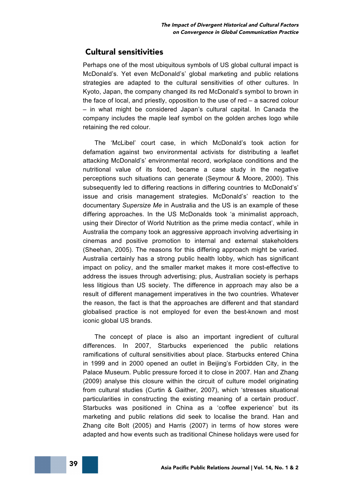#### Cultural sensitivities

Perhaps one of the most ubiquitous symbols of US global cultural impact is McDonald's. Yet even McDonald's' global marketing and public relations strategies are adapted to the cultural sensitivities of other cultures. In Kyoto, Japan, the company changed its red McDonald's symbol to brown in the face of local, and priestly, opposition to the use of red – a sacred colour – in what might be considered Japan's cultural capital. In Canada the company includes the maple leaf symbol on the golden arches logo while retaining the red colour.

The 'McLibel' court case, in which McDonald's took action for defamation against two environmental activists for distributing a leaflet attacking McDonald's' environmental record, workplace conditions and the nutritional value of its food, became a case study in the negative perceptions such situations can generate (Seymour & Moore, 2000). This subsequently led to differing reactions in differing countries to McDonald's' issue and crisis management strategies. McDonald's' reaction to the documentary *Supersize Me* in Australia and the US is an example of these differing approaches. In the US McDonalds took 'a minimalist approach, using their Director of World Nutrition as the prime media contact', while in Australia the company took an aggressive approach involving advertising in cinemas and positive promotion to internal and external stakeholders (Sheehan, 2005). The reasons for this differing approach might be varied. Australia certainly has a strong public health lobby, which has significant impact on policy, and the smaller market makes it more cost-effective to address the issues through advertising; plus, Australian society is perhaps less litigious than US society. The difference in approach may also be a result of different management imperatives in the two countries. Whatever the reason, the fact is that the approaches are different and that standard globalised practice is not employed for even the best-known and most iconic global US brands.

The concept of place is also an important ingredient of cultural differences. In 2007, Starbucks experienced the public relations ramifications of cultural sensitivities about place. Starbucks entered China in 1999 and in 2000 opened an outlet in Beijing's Forbidden City, in the Palace Museum. Public pressure forced it to close in 2007. Han and Zhang (2009) analyse this closure within the circuit of culture model originating from cultural studies (Curtin & Gaither, 2007), which 'stresses situational particularities in constructing the existing meaning of a certain product'. Starbucks was positioned in China as a 'coffee experience' but its marketing and public relations did seek to localise the brand. Han and Zhang cite Bolt (2005) and Harris (2007) in terms of how stores were adapted and how events such as traditional Chinese holidays were used for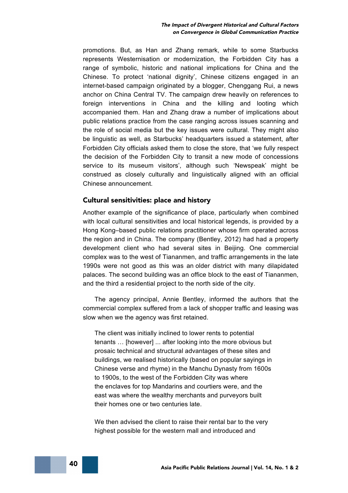promotions. But, as Han and Zhang remark, while to some Starbucks represents Westernisation or modernization, the Forbidden City has a range of symbolic, historic and national implications for China and the Chinese. To protect 'national dignity', Chinese citizens engaged in an internet-based campaign originated by a blogger, Chenggang Rui, a news anchor on China Central TV. The campaign drew heavily on references to foreign interventions in China and the killing and looting which accompanied them. Han and Zhang draw a number of implications about public relations practice from the case ranging across issues scanning and the role of social media but the key issues were cultural. They might also be linguistic as well, as Starbucks' headquarters issued a statement, after Forbidden City officials asked them to close the store, that 'we fully respect the decision of the Forbidden City to transit a new mode of concessions service to its museum visitors', although such 'Newspeak' might be construed as closely culturally and linguistically aligned with an official Chinese announcement.

#### Cultural sensitivities: place and history

Another example of the significance of place, particularly when combined with local cultural sensitivities and local historical legends, is provided by a Hong Kong–based public relations practitioner whose firm operated across the region and in China. The company (Bentley, 2012) had had a property development client who had several sites in Beijing. One commercial complex was to the west of Tiananmen, and traffic arrangements in the late 1990s were not good as this was an older district with many dilapidated palaces. The second building was an office block to the east of Tiananmen, and the third a residential project to the north side of the city.

The agency principal, Annie Bentley, informed the authors that the commercial complex suffered from a lack of shopper traffic and leasing was slow when we the agency was first retained.

The client was initially inclined to lower rents to potential tenants … [however] ... after looking into the more obvious but prosaic technical and structural advantages of these sites and buildings, we realised historically (based on popular sayings in Chinese verse and rhyme) in the Manchu Dynasty from 1600s to 1900s, to the west of the Forbidden City was where the enclaves for top Mandarins and courtiers were, and the east was where the wealthy merchants and purveyors built their homes one or two centuries late.

We then advised the client to raise their rental bar to the very highest possible for the western mall and introduced and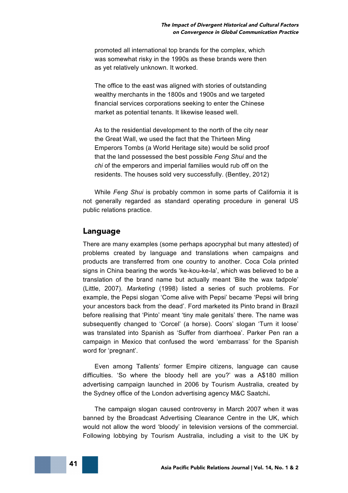promoted all international top brands for the complex, which was somewhat risky in the 1990s as these brands were then as yet relatively unknown. It worked.

The office to the east was aligned with stories of outstanding wealthy merchants in the 1800s and 1900s and we targeted financial services corporations seeking to enter the Chinese market as potential tenants. It likewise leased well.

As to the residential development to the north of the city near the Great Wall, we used the fact that the Thirteen Ming Emperors Tombs (a World Heritage site) would be solid proof that the land possessed the best possible *Feng Shui* and the *chi* of the emperors and imperial families would rub off on the residents. The houses sold very successfully. (Bentley, 2012)

While *Feng Shui* is probably common in some parts of California it is not generally regarded as standard operating procedure in general US public relations practice.

#### Language

There are many examples (some perhaps apocryphal but many attested) of problems created by language and translations when campaigns and products are transferred from one country to another. Coca Cola printed signs in China bearing the words 'ke-kou-ke-la', which was believed to be a translation of the brand name but actually meant 'Bite the wax tadpole' (Little, 2007). *Marketing* (1998) listed a series of such problems. For example, the Pepsi slogan 'Come alive with Pepsi' became 'Pepsi will bring your ancestors back from the dead'. Ford marketed its Pinto brand in Brazil before realising that 'Pinto' meant 'tiny male genitals' there. The name was subsequently changed to 'Corcel' (a horse). Coors' slogan 'Turn it loose' was translated into Spanish as 'Suffer from diarrhoea'. Parker Pen ran a campaign in Mexico that confused the word 'embarrass' for the Spanish word for 'pregnant'.

Even among Tallents' former Empire citizens, language can cause difficulties. 'So where the bloody hell are you?' was a A\$180 million advertising campaign launched in 2006 by Tourism Australia, created by the Sydney office of the London advertising agency M&C Saatchi**.**

The campaign slogan caused controversy in March 2007 when it was banned by the Broadcast Advertising Clearance Centre in the UK, which would not allow the word 'bloody' in television versions of the commercial. Following lobbying by Tourism Australia, including a visit to the UK by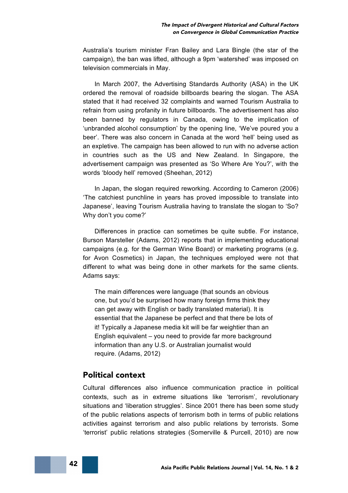Australia's tourism minister Fran Bailey and Lara Bingle (the star of the campaign), the ban was lifted, although a 9pm 'watershed' was imposed on television commercials in May.

In March 2007, the Advertising Standards Authority (ASA) in the UK ordered the removal of roadside billboards bearing the slogan. The ASA stated that it had received 32 complaints and warned Tourism Australia to refrain from using profanity in future billboards. The advertisement has also been banned by regulators in Canada, owing to the implication of 'unbranded alcohol consumption' by the opening line, 'We've poured you a beer'. There was also concern in Canada at the word 'hell' being used as an expletive. The campaign has been allowed to run with no adverse action in countries such as the US and New Zealand. In Singapore, the advertisement campaign was presented as 'So Where Are You?', with the words 'bloody hell' removed (Sheehan, 2012)

In Japan, the slogan required reworking. According to Cameron (2006) 'The catchiest punchline in years has proved impossible to translate into Japanese', leaving Tourism Australia having to translate the slogan to 'So? Why don't you come?'

Differences in practice can sometimes be quite subtle. For instance, Burson Marsteller (Adams, 2012) reports that in implementing educational campaigns (e.g. for the German Wine Board) or marketing programs (e.g. for Avon Cosmetics) in Japan, the techniques employed were not that different to what was being done in other markets for the same clients. Adams says:

The main differences were language (that sounds an obvious one, but you'd be surprised how many foreign firms think they can get away with English or badly translated material). It is essential that the Japanese be perfect and that there be lots of it! Typically a Japanese media kit will be far weightier than an English equivalent – you need to provide far more background information than any U.S. or Australian journalist would require. (Adams, 2012)

#### Political context

Cultural differences also influence communication practice in political contexts, such as in extreme situations like 'terrorism', revolutionary situations and 'liberation struggles'. Since 2001 there has been some study of the public relations aspects of terrorism both in terms of public relations activities against terrorism and also public relations by terrorists. Some 'terrorist' public relations strategies (Somerville & Purcell, 2010) are now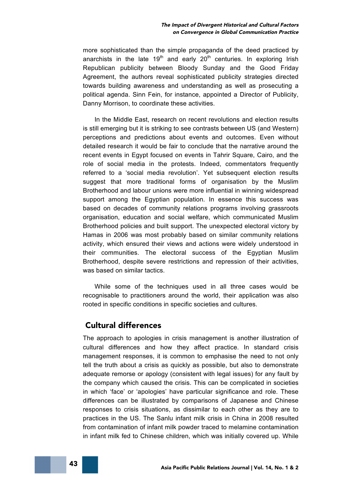more sophisticated than the simple propaganda of the deed practiced by anarchists in the late  $19<sup>th</sup>$  and early  $20<sup>th</sup>$  centuries. In exploring Irish Republican publicity between Bloody Sunday and the Good Friday Agreement, the authors reveal sophisticated publicity strategies directed towards building awareness and understanding as well as prosecuting a political agenda. Sinn Fein, for instance, appointed a Director of Publicity, Danny Morrison, to coordinate these activities.

In the Middle East, research on recent revolutions and election results is still emerging but it is striking to see contrasts between US (and Western) perceptions and predictions about events and outcomes. Even without detailed research it would be fair to conclude that the narrative around the recent events in Egypt focused on events in Tahrir Square, Cairo, and the role of social media in the protests. Indeed, commentators frequently referred to a 'social media revolution'. Yet subsequent election results suggest that more traditional forms of organisation by the Muslim Brotherhood and labour unions were more influential in winning widespread support among the Egyptian population. In essence this success was based on decades of community relations programs involving grassroots organisation, education and social welfare, which communicated Muslim Brotherhood policies and built support. The unexpected electoral victory by Hamas in 2006 was most probably based on similar community relations activity, which ensured their views and actions were widely understood in their communities. The electoral success of the Egyptian Muslim Brotherhood, despite severe restrictions and repression of their activities, was based on similar tactics.

While some of the techniques used in all three cases would be recognisable to practitioners around the world, their application was also rooted in specific conditions in specific societies and cultures.

#### Cultural differences

The approach to apologies in crisis management is another illustration of cultural differences and how they affect practice. In standard crisis management responses, it is common to emphasise the need to not only tell the truth about a crisis as quickly as possible, but also to demonstrate adequate remorse or apology (consistent with legal issues) for any fault by the company which caused the crisis. This can be complicated in societies in which 'face' or 'apologies' have particular significance and role. These differences can be illustrated by comparisons of Japanese and Chinese responses to crisis situations, as dissimilar to each other as they are to practices in the US. The Sanlu infant milk crisis in China in 2008 resulted from contamination of infant milk powder traced to melamine contamination in infant milk fed to Chinese children, which was initially covered up. While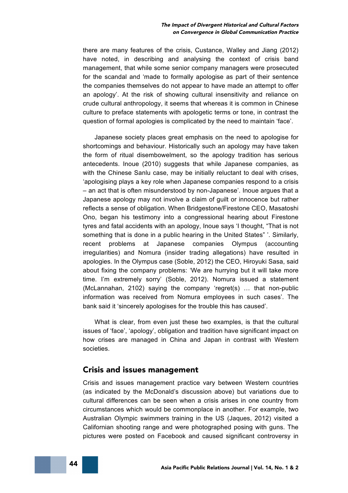there are many features of the crisis, Custance, Walley and Jiang (2012) have noted, in describing and analysing the context of crisis band management, that while some senior company managers were prosecuted for the scandal and 'made to formally apologise as part of their sentence the companies themselves do not appear to have made an attempt to offer an apology'. At the risk of showing cultural insensitivity and reliance on crude cultural anthropology, it seems that whereas it is common in Chinese culture to preface statements with apologetic terms or tone, in contrast the question of formal apologies is complicated by the need to maintain 'face'.

Japanese society places great emphasis on the need to apologise for shortcomings and behaviour. Historically such an apology may have taken the form of ritual disembowelment, so the apology tradition has serious antecedents. Inoue (2010) suggests that while Japanese companies, as with the Chinese Sanlu case, may be initially reluctant to deal with crises, 'apologising plays a key role when Japanese companies respond to a crisis – an act that is often misunderstood by non-Japanese'. Inoue argues that a Japanese apology may not involve a claim of guilt or innocence but rather reflects a sense of obligation. When Bridgestone/Firestone CEO, Masatoshi Ono, began his testimony into a congressional hearing about Firestone tyres and fatal accidents with an apology, Inoue says 'I thought, "That is not something that is done in a public hearing in the United States" '. Similarly, recent problems at Japanese companies Olympus (accounting irregularities) and Nomura (insider trading allegations) have resulted in apologies. In the Olympus case (Soble, 2012) the CEO, Hiroyuki Sasa, said about fixing the company problems: 'We are hurrying but it will take more time. I'm extremely sorry' (Soble, 2012). Nomura issued a statement (McLannahan, 2102) saying the company 'regret(s) … that non-public information was received from Nomura employees in such cases'. The bank said it 'sincerely apologises for the trouble this has caused'.

What is clear, from even just these two examples, is that the cultural issues of 'face', 'apology', obligation and tradition have significant impact on how crises are managed in China and Japan in contrast with Western societies.

#### Crisis and issues management

Crisis and issues management practice vary between Western countries (as indicated by the McDonald's discussion above) but variations due to cultural differences can be seen when a crisis arises in one country from circumstances which would be commonplace in another. For example, two Australian Olympic swimmers training in the US (Jaques, 2012) visited a Californian shooting range and were photographed posing with guns. The pictures were posted on Facebook and caused significant controversy in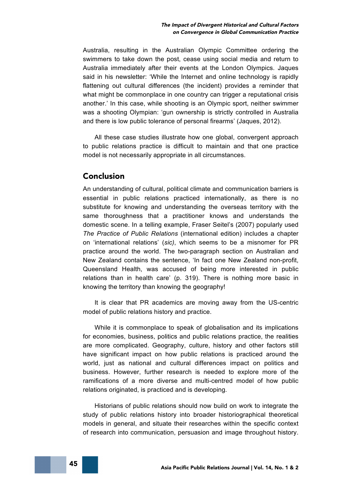Australia, resulting in the Australian Olympic Committee ordering the swimmers to take down the post, cease using social media and return to Australia immediately after their events at the London Olympics. Jaques said in his newsletter: 'While the Internet and online technology is rapidly flattening out cultural differences (the incident) provides a reminder that what might be commonplace in one country can trigger a reputational crisis another.' In this case, while shooting is an Olympic sport, neither swimmer was a shooting Olympian: 'gun ownership is strictly controlled in Australia and there is low public tolerance of personal firearms' (Jaques, 2012).

All these case studies illustrate how one global, convergent approach to public relations practice is difficult to maintain and that one practice model is not necessarily appropriate in all circumstances.

#### Conclusion

An understanding of cultural, political climate and communication barriers is essential in public relations practiced internationally, as there is no substitute for knowing and understanding the overseas territory with the same thoroughness that a practitioner knows and understands the domestic scene. In a telling example, Fraser Seitel's (2007) popularly used *The Practice of Public Relations* (international edition) includes a chapter on 'international relations' (*sic)*, which seems to be a misnomer for PR practice around the world. The two-paragraph section on Australian and New Zealand contains the sentence, 'In fact one New Zealand non-profit, Queensland Health, was accused of being more interested in public relations than in health care' (p. 319). There is nothing more basic in knowing the territory than knowing the geography!

It is clear that PR academics are moving away from the US-centric model of public relations history and practice.

While it is commonplace to speak of globalisation and its implications for economies, business, politics and public relations practice, the realities are more complicated. Geography, culture, history and other factors still have significant impact on how public relations is practiced around the world, just as national and cultural differences impact on politics and business. However, further research is needed to explore more of the ramifications of a more diverse and multi-centred model of how public relations originated, is practiced and is developing.

Historians of public relations should now build on work to integrate the study of public relations history into broader historiographical theoretical models in general, and situate their researches within the specific context of research into communication, persuasion and image throughout history.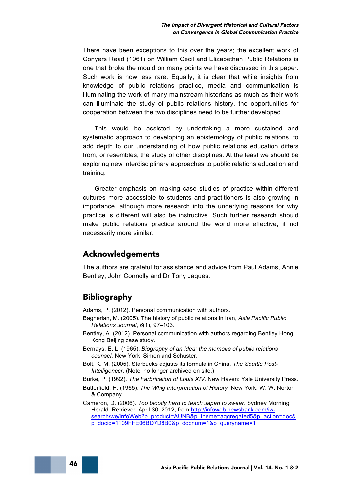There have been exceptions to this over the years; the excellent work of Conyers Read (1961) on William Cecil and Elizabethan Public Relations is one that broke the mould on many points we have discussed in this paper. Such work is now less rare. Equally, it is clear that while insights from knowledge of public relations practice, media and communication is illuminating the work of many mainstream historians as much as their work can illuminate the study of public relations history, the opportunities for cooperation between the two disciplines need to be further developed.

This would be assisted by undertaking a more sustained and systematic approach to developing an epistemology of public relations, to add depth to our understanding of how public relations education differs from, or resembles, the study of other disciplines. At the least we should be exploring new interdisciplinary approaches to public relations education and training.

Greater emphasis on making case studies of practice within different cultures more accessible to students and practitioners is also growing in importance, although more research into the underlying reasons for why practice is different will also be instructive. Such further research should make public relations practice around the world more effective, if not necessarily more similar.

#### Acknowledgements

The authors are grateful for assistance and advice from Paul Adams, Annie Bentley, John Connolly and Dr Tony Jaques.

### Bibliography

Adams, P. (2012). Personal communication with authors.

- Bagherian, M. (2005). The history of public relations in Iran, *Asia Pacific Public Relations Journal*, *6*(1), 97–103.
- Bentley, A. (2012). Personal communication with authors regarding Bentley Hong Kong Beijing case study.
- Bernays, E. L. (1965). *Biography of an Idea: the memoirs of public relations counsel*. New York: Simon and Schuster.
- Bolt, K. M. (2005). Starbucks adjusts its formula in China. *The Seattle Post-Intelligencer.* (Note: no longer archived on site.)
- Burke, P. (1992). *The Farbrication of Louis XIV.* New Haven: Yale University Press.
- Butterfield, H. (1965). *The Whig Interpretation of History.* New York: W. W. Norton & Company.
- Cameron, D. (2006). *Too bloody hard to teach Japan to swear*. Sydney Morning Herald. Retrieved April 30, 2012, from http://infoweb.newsbank.com/iwsearch/we/InfoWeb?p\_product=AUNB&p\_theme=aggregated5&p\_action=doc& p\_docid=1109FFE06BD7D8B0&p\_docnum=1&p\_queryname=1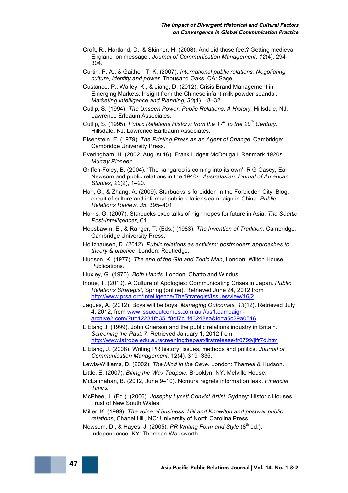- Croft, R., Hartland, D., & Skinner, H. (2008). And did those feet? Getting medieval England 'on message'. *Journal of Communication Management*, *12*(4), 294– 304.
- Curtin, P. A., & Gaither, T. K. (2007). *International public relations: Negotiating culture, identity and power*. Thousand Oaks, CA: Sage.
- Custance, P., Walley, K., & Jiang, D. (2012). Crisis Brand Management in Emerging Markets: Insight from the Chinese infant milk powder scandal. *Marketing Intelligence and Planning, 30*(1), 18–32.
- Cutlip, S. (1994). *The Unseen Power: Public Relations: A History.* Hillsdale, NJ: Lawrence Erlbaum Associates.
- Cutlip, S. (1995). *Public Relations History: from the 17th to the 20th Century.*  Hillsdale, NJ: Lawrence Earlbaum Associates.
- Eisenstein, E. (1979). *The Printing Press as an Agent of Change.* Cambridge: Cambridge University Press.
- Everingham, H. (2002, August 16). Frank Lidgett McDougall, Renmark 1920s. *Murray Pioneer.*
- Griffen-Foley, B. (2004). 'The kangaroo is coming into its own'. R G Casey, Earl Newsom and public relations in the 1940s. *Australasian Journal of American Studies*, *23*(2), 1–20.
- Han, G., & Zhang, A. (2009). Starbucks is forbidden in the Forbidden City: Blog, circuit of culture and informal public relations campaign in China. *Public Relations Review, 35*, 395–401.
- Harris, G. (2007). Starbucks exec talks of high hopes for future in Asia. *The Seattle Post-Intelligencer*, C1.
- Hobsbawm, E., & Ranger, T. (Eds.) (1983). *The Invention of Tradition.* Cambridge: Cambridge University Press.
- Holtzhausen, D. (2012). *Public relations as activism: postmodern approaches to theory & practice*. London: Routledge.
- Hudson, K. (1977). *The end of the Gin and Tonic Man*, London: Wilton House Publications.
- Huxley, G. (1970). *Both Hands.* London: Chatto and Windus.
- Inoue, T. (2010). A Culture of Apologies: Communicating Crises in Japan. *Public Relations Strategist,* Spring (online). Retrieved June 24, 2012 from http://www.prsa.org/Intelligence/TheStrategist/Issues/view/16/2
- Jaques, A. (2012). Boys will be boys. *Managing Outcomes, 13*(12). Retrieved July 4, 2012, from www.issueoutcomes.com.au //us1.campaignarchive2.com/?u=12234fd351f8df7c1f43248ea&id=a5c29a0546
- L'Etang J. (1999). John Grierson and the public relations industry in Britain. *Screening the Past*, *7*. Retrieved January 1, 2012 from http://www.latrobe.edu.au/screeningthepast/firstrelease/fr0799/jlfr7d.htm
- L'Etang, J. (2008). Writing PR history: issues, methods and politics. *Journal of Communication Management,* 12(4), 319–335.
- Lewis-Williams, D. (2002). *The Mind in the Cave.* London: Thames & Hudson.
- Little, E. (2007). *Biting the Wax Tadpole.* Brooklyn, NY: Melville House.
- McLannahan, B. (2012, June 9–10). Nomura regrets information leak. *Financial Times.*
- McPhee, J. (Ed.). (2006). *Josephy Lycett Convict Artist.* Sydney: Historic Houses Trust of New South Wales.
- Miller, K. (1999). *The voice of business: Hill and Knowlton and postwar public relations*, Chapel Hill, NC: University of North Carolina Press.
- Newsom, D., & Hayes, J. (2005). PR Writing Form and Style (8<sup>th</sup> ed.). Independence, KY: Thomson Wadsworth.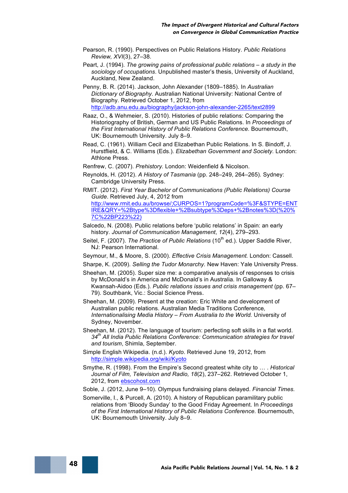- Pearson, R. (1990). Perspectives on Public Relations History. *Public Relations Review, XVI*(3), 27–38.
- Peart, J. (1994). *The growing pains of professional public relations – a study in the sociology of occupations*. Unpublished master's thesis, University of Auckland, Auckland, New Zealand.
- Penny, B. R. (2014). Jackson, John Alexander (1809–1885). In *Australian Dictionary of Biography.* Australian National University: National Centre of Biography. Retrieved October 1, 2012, from http://adb.anu.edu.au/biography/jackson-john-alexander-2265/text2899
- Raaz, O., & Wehmeier, S. (2010). Histories of public relations: Comparing the Historiography of British, German and US Public Relations. In *Proceedings of the First International History of Public Relations Conference.* Bournemouth, UK: Bournemouth University. July 8–9.
- Read, C. (1961). William Cecil and Elizabethan Public Relations. In S. Bindoff, J. Hurstflield, & C. Williams (Eds.). *Elizabethan Government and Society.* London: Athlone Press.
- Renfrew, C. (2007). *Prehistory.* London: Weidenfield & Nicolson.
- Reynolds, H. (2012). *A History of Tasmania* (pp. 248–249, 264–265)*.* Sydney: Cambridge University Press.
- RMIT. (2012). *First Year Bachelor of Communications (Public Relations) Course Guide*. Retrieved July, 4, 2012 from http://www.rmit.edu.au/browse/;CURPOS=1?programCode=%3F&STYPE=ENT IRE&QRY=%2Btype%3Dflexible+%2Bsubtype%3Deps+%2Bnotes%3D(%20% 7C%22BP223%22)
- Salcedo, N. (2008). Public relations before 'public relations' in Spain: an early history. *Journal of Communication Management*, *12*(4), 279–293.
- Seitel, F. (2007). *The Practice of Public Relations* (10<sup>th</sup> ed.). Upper Saddle River, NJ: Pearson International.
- Seymour, M., & Moore, S. (2000). *Effective Crisis Management.* London: Cassell.
- Sharpe, K. (2009). *Selling the Tudor Monarchy.* New Haven: Yale University Press.
- Sheehan, M. (2005). Super size me: a comparative analysis of responses to crisis by McDonald's in America and McDonald's in Australia. In Galloway & Kwansah-Aidoo (Eds.). *Public relations issues and crisis management* (pp. 67– 79). Southbank, Vic.: Social Science Press.
- Sheehan, M. (2009). Present at the creation: Eric White and development of Australian public relations. Australian Media Traditions Conference*, Internationalising Media History – From Australia to the World.* University of Sydney, November.
- Sheehan, M. (2012). The language of tourism: perfecting soft skills in a flat world. *34th All India Public Relations Conference: Communication strategies for travel and tourism*, Shimla, September.
- Simple English Wikipedia. (n.d.). *Kyoto*. Retrieved June 19, 2012, from http://simple.wikipedia.org/wiki/Kyoto
- Smythe, R. (1998). From the Empire's Second greatest white city to … . *Historical Journal of Film, Television and Radio, 18*(2), 237–262. Retrieved October 1, 2012, from ebscohost.com
- Soble, J. (2012, June 9–10). Olympus fundraising plans delayed. *Financial Times.*
- Somerville, I., & Purcell, A. (2010). A history of Republican paramilitary public relations from 'Bloody Sunday' to the Good Friday Agreement. In *Proceedings of the First International History of Public Relations Conference.* Bournemouth, UK: Bournemouth University. July 8–9.